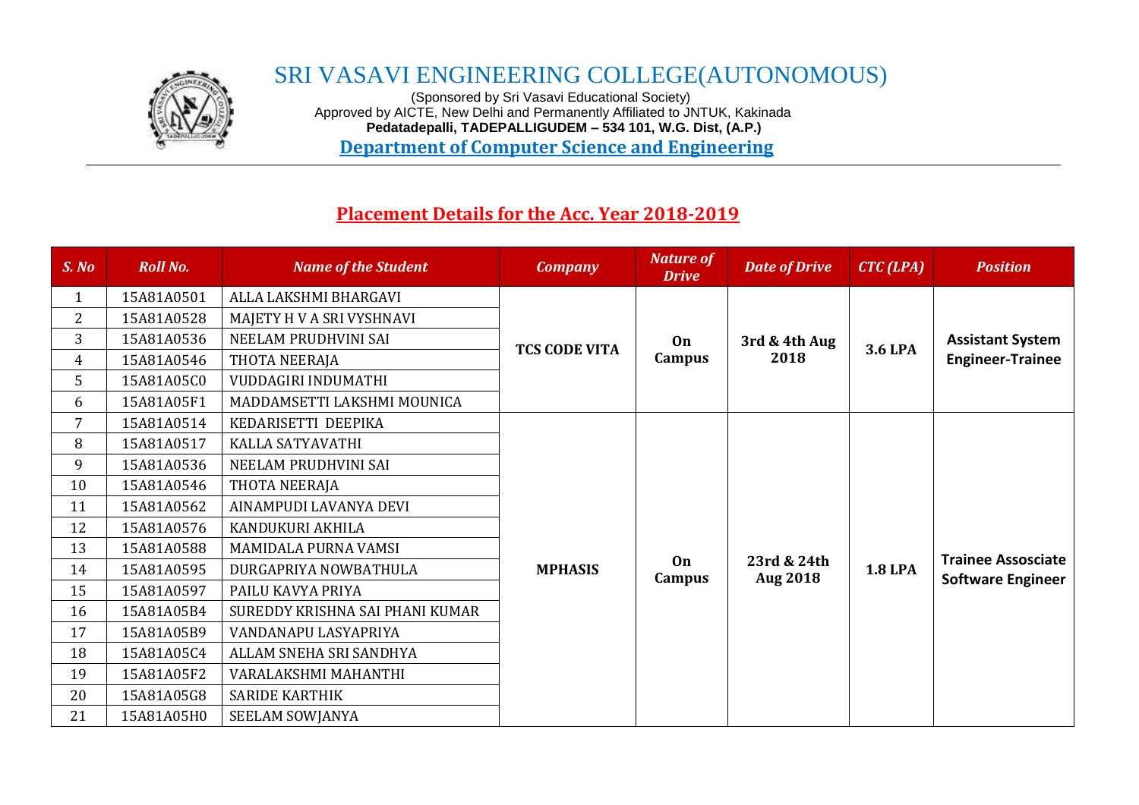

## SRI VASAVI ENGINEERING COLLEGE(AUTONOMOUS)

 (Sponsored by Sri Vasavi Educational Society) Approved by AICTE, New Delhi and Permanently Affiliated to JNTUK, Kakinada  **Pedatadepalli, TADEPALLIGUDEM – 534 101, W.G. Dist, (A.P.) Department of Computer Science and Engineering**

## **Placement Details for the Acc. Year 2018-2019**

| S. No          | <b>Roll No.</b> | <b>Name of the Student</b>      | <b>Company</b>       | <b>Nature of</b><br><b>Drive</b> | <b>Date of Drive</b>           | $CTC$ (LPA)    | <b>Position</b>                                       |
|----------------|-----------------|---------------------------------|----------------------|----------------------------------|--------------------------------|----------------|-------------------------------------------------------|
| $\mathbf{1}$   | 15A81A0501      | ALLA LAKSHMI BHARGAVI           | <b>TCS CODE VITA</b> |                                  |                                | <b>3.6 LPA</b> |                                                       |
| $\overline{2}$ | 15A81A0528      | MAJETY H V A SRI VYSHNAVI       |                      |                                  |                                |                | <b>Assistant System</b>                               |
| 3              | 15A81A0536      | NEELAM PRUDHVINI SAI            |                      | <b>On</b>                        | 3rd & 4th Aug                  |                |                                                       |
| $\overline{4}$ | 15A81A0546      | THOTA NEERAJA                   |                      | Campus                           | 2018                           |                | <b>Engineer-Trainee</b>                               |
| 5              | 15A81A05C0      | VUDDAGIRI INDUMATHI             |                      |                                  |                                |                |                                                       |
| 6              | 15A81A05F1      | MADDAMSETTI LAKSHMI MOUNICA     |                      |                                  |                                |                |                                                       |
| 7              | 15A81A0514      | KEDARISETTI DEEPIKA             |                      |                                  |                                | <b>1.8 LPA</b> |                                                       |
| 8              | 15A81A0517      | KALLA SATYAVATHI                |                      |                                  |                                |                |                                                       |
| 9              | 15A81A0536      | NEELAM PRUDHVINI SAI            |                      |                                  |                                |                |                                                       |
| 10             | 15A81A0546      | THOTA NEERAJA                   |                      |                                  |                                |                |                                                       |
| 11             | 15A81A0562      | AINAMPUDI LAVANYA DEVI          |                      |                                  | 23rd & 24th<br><b>Aug 2018</b> |                |                                                       |
| 12             | 15A81A0576      | KANDUKURI AKHILA                |                      |                                  |                                |                |                                                       |
| 13             | 15A81A0588      | MAMIDALA PURNA VAMSI            |                      |                                  |                                |                | <b>Trainee Assosciate</b><br><b>Software Engineer</b> |
| 14             | 15A81A0595      | DURGAPRIYA NOWBATHULA           | <b>MPHASIS</b>       | 0 <sub>n</sub><br>Campus         |                                |                |                                                       |
| 15             | 15A81A0597      | PAILU KAVYA PRIYA               |                      |                                  |                                |                |                                                       |
| 16             | 15A81A05B4      | SUREDDY KRISHNA SAI PHANI KUMAR |                      |                                  |                                |                |                                                       |
| 17             | 15A81A05B9      | VANDANAPU LASYAPRIYA            |                      |                                  |                                |                |                                                       |
| 18             | 15A81A05C4      | ALLAM SNEHA SRI SANDHYA         |                      |                                  |                                |                |                                                       |
| 19             | 15A81A05F2      | VARALAKSHMI MAHANTHI            |                      |                                  |                                |                |                                                       |
| 20             | 15A81A05G8      | <b>SARIDE KARTHIK</b>           |                      |                                  |                                |                |                                                       |
| 21             | 15A81A05H0      | SEELAM SOWJANYA                 |                      |                                  |                                |                |                                                       |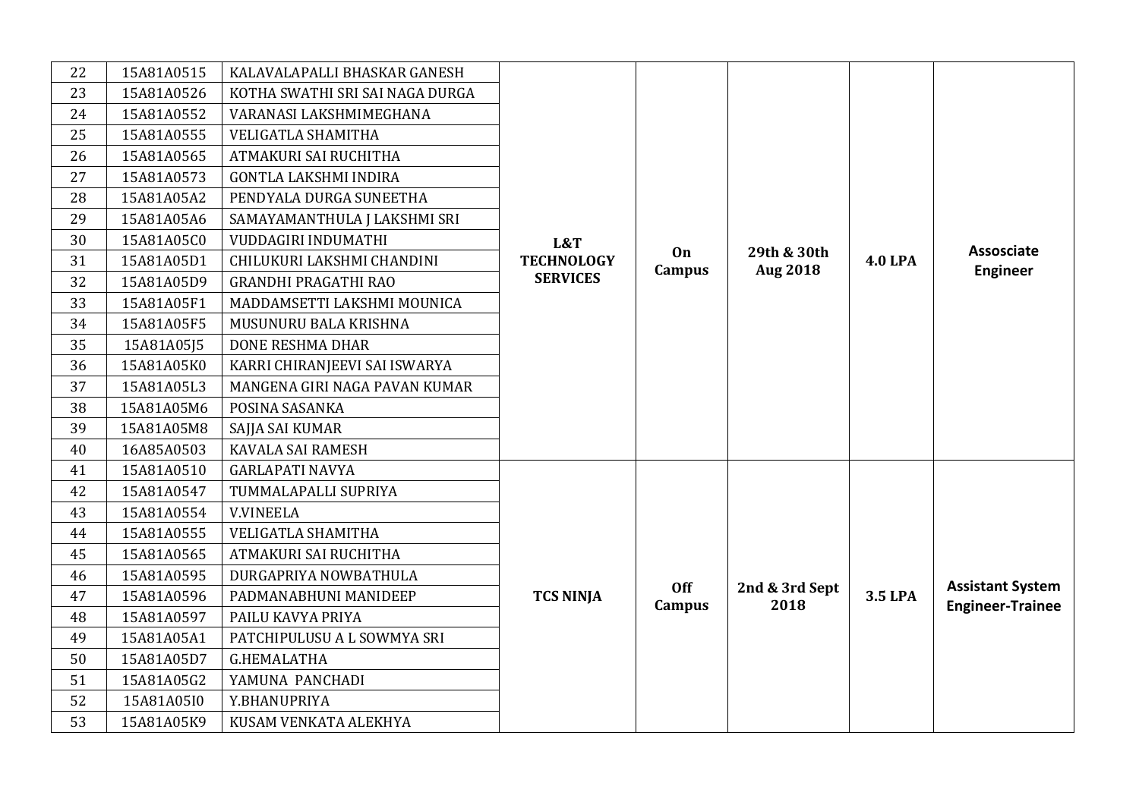| 22 | 15A81A0515 | KALAVALAPALLI BHASKAR GANESH    |                                             |                     |                                |                |                                                    |
|----|------------|---------------------------------|---------------------------------------------|---------------------|--------------------------------|----------------|----------------------------------------------------|
| 23 | 15A81A0526 | KOTHA SWATHI SRI SAI NAGA DURGA |                                             |                     |                                |                |                                                    |
| 24 | 15A81A0552 | VARANASI LAKSHMIMEGHANA         | L&T<br><b>TECHNOLOGY</b><br><b>SERVICES</b> |                     |                                |                |                                                    |
| 25 | 15A81A0555 | <b>VELIGATLA SHAMITHA</b>       |                                             |                     |                                |                |                                                    |
| 26 | 15A81A0565 | ATMAKURI SAI RUCHITHA           |                                             |                     |                                |                |                                                    |
| 27 | 15A81A0573 | <b>GONTLA LAKSHMI INDIRA</b>    |                                             |                     |                                |                |                                                    |
| 28 | 15A81A05A2 | PENDYALA DURGA SUNEETHA         |                                             |                     |                                |                |                                                    |
| 29 | 15A81A05A6 | SAMAYAMANTHULA J LAKSHMI SRI    |                                             |                     |                                |                |                                                    |
| 30 | 15A81A05C0 | VUDDAGIRI INDUMATHI             |                                             |                     |                                |                |                                                    |
| 31 | 15A81A05D1 | CHILUKURI LAKSHMI CHANDINI      |                                             | On<br><b>Campus</b> | 29th & 30th<br><b>Aug 2018</b> | <b>4.0 LPA</b> | Assosciate<br><b>Engineer</b>                      |
| 32 | 15A81A05D9 | <b>GRANDHI PRAGATHI RAO</b>     |                                             |                     |                                |                |                                                    |
| 33 | 15A81A05F1 | MADDAMSETTI LAKSHMI MOUNICA     |                                             |                     |                                |                |                                                    |
| 34 | 15A81A05F5 | MUSUNURU BALA KRISHNA           |                                             |                     |                                |                |                                                    |
| 35 | 15A81A05J5 | <b>DONE RESHMA DHAR</b>         |                                             |                     |                                |                |                                                    |
| 36 | 15A81A05K0 | KARRI CHIRANJEEVI SAI ISWARYA   |                                             |                     |                                |                |                                                    |
| 37 | 15A81A05L3 | MANGENA GIRI NAGA PAVAN KUMAR   |                                             |                     |                                |                |                                                    |
| 38 | 15A81A05M6 | POSINA SASANKA                  |                                             |                     |                                |                |                                                    |
| 39 | 15A81A05M8 | SAJJA SAI KUMAR                 |                                             |                     |                                |                |                                                    |
| 40 | 16A85A0503 | KAVALA SAI RAMESH               |                                             |                     |                                |                |                                                    |
| 41 | 15A81A0510 | <b>GARLAPATI NAVYA</b>          |                                             |                     |                                |                |                                                    |
| 42 | 15A81A0547 | TUMMALAPALLI SUPRIYA            |                                             |                     |                                |                |                                                    |
| 43 | 15A81A0554 | <b>V.VINEELA</b>                |                                             |                     |                                |                |                                                    |
| 44 | 15A81A0555 | VELIGATLA SHAMITHA              |                                             |                     |                                |                |                                                    |
| 45 | 15A81A0565 | ATMAKURI SAI RUCHITHA           |                                             |                     |                                |                |                                                    |
| 46 | 15A81A0595 | DURGAPRIYA NOWBATHULA           |                                             | <b>Off</b>          |                                |                |                                                    |
| 47 | 15A81A0596 | PADMANABHUNI MANIDEEP           | <b>TCS NINJA</b>                            | Campus              | 2nd & 3rd Sept<br>2018         | 3.5 LPA        | <b>Assistant System</b><br><b>Engineer-Trainee</b> |
| 48 | 15A81A0597 | PAILU KAVYA PRIYA               |                                             |                     |                                |                |                                                    |
| 49 | 15A81A05A1 | PATCHIPULUSU A L SOWMYA SRI     |                                             |                     |                                |                |                                                    |
| 50 | 15A81A05D7 | <b>G.HEMALATHA</b>              |                                             |                     |                                |                |                                                    |
| 51 | 15A81A05G2 | YAMUNA PANCHADI                 |                                             |                     |                                |                |                                                    |
| 52 | 15A81A05I0 | Y.BHANUPRIYA                    |                                             |                     |                                |                |                                                    |
| 53 | 15A81A05K9 | KUSAM VENKATA ALEKHYA           |                                             |                     |                                |                |                                                    |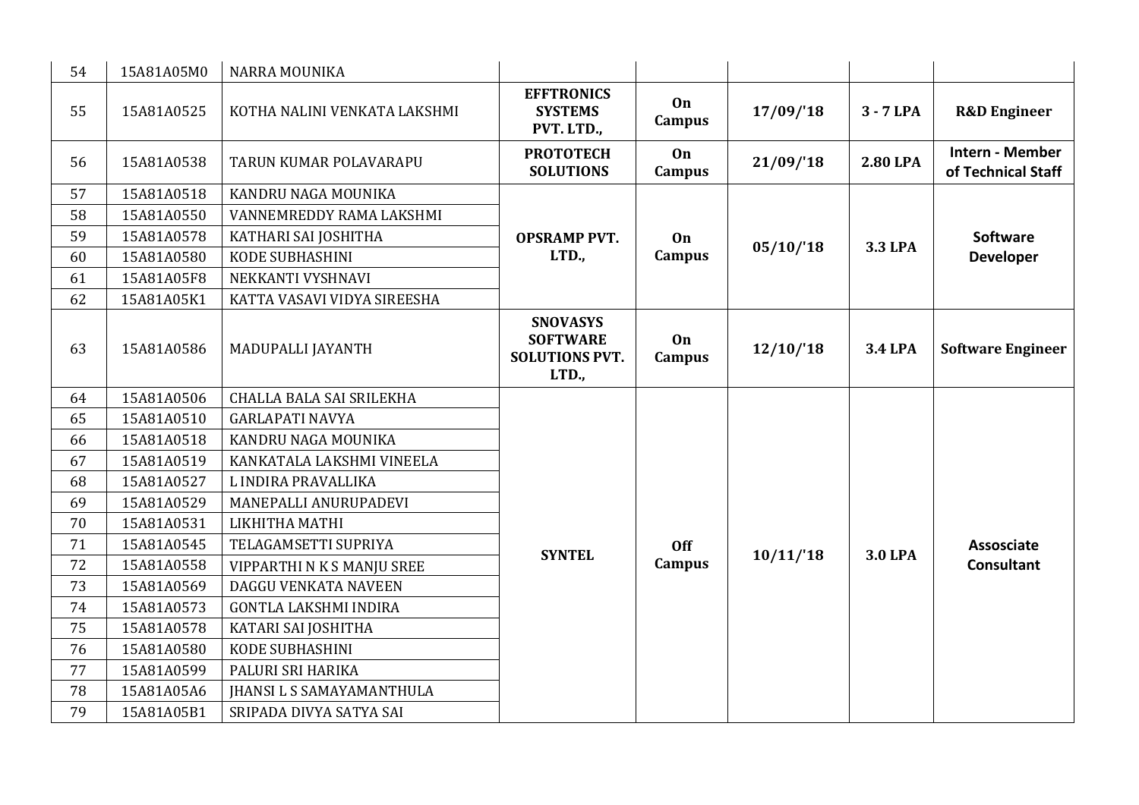| 54 | 15A81A05M0 | <b>NARRA MOUNIKA</b>             |                                                                      |                     |          |                |                                        |
|----|------------|----------------------------------|----------------------------------------------------------------------|---------------------|----------|----------------|----------------------------------------|
| 55 | 15A81A0525 | KOTHA NALINI VENKATA LAKSHMI     | <b>EFFTRONICS</b><br><b>SYSTEMS</b><br>PVT. LTD.,                    | On<br><b>Campus</b> | 17/09/18 | $3 - 7$ LPA    | <b>R&amp;D</b> Engineer                |
| 56 | 15A81A0538 | TARUN KUMAR POLAVARAPU           | <b>PROTOTECH</b><br><b>SOLUTIONS</b>                                 | On<br><b>Campus</b> | 21/09/18 | 2.80 LPA       | Intern - Member<br>of Technical Staff  |
| 57 | 15A81A0518 | KANDRU NAGA MOUNIKA              |                                                                      |                     |          |                |                                        |
| 58 | 15A81A0550 | VANNEMREDDY RAMA LAKSHMI         |                                                                      |                     |          |                |                                        |
| 59 | 15A81A0578 | KATHARI SAI JOSHITHA             | <b>OPSRAMP PVT.</b>                                                  | On                  | 05/10/18 | <b>3.3 LPA</b> | <b>Software</b>                        |
| 60 | 15A81A0580 | <b>KODE SUBHASHINI</b>           | LTD.,                                                                | <b>Campus</b>       |          |                | <b>Developer</b>                       |
| 61 | 15A81A05F8 | NEKKANTI VYSHNAVI                |                                                                      |                     |          |                |                                        |
| 62 | 15A81A05K1 | KATTA VASAVI VIDYA SIREESHA      |                                                                      |                     |          |                |                                        |
| 63 | 15A81A0586 | MADUPALLI JAYANTH                | <b>SNOVASYS</b><br><b>SOFTWARE</b><br><b>SOLUTIONS PVT.</b><br>LTD., | On<br><b>Campus</b> | 12/10/18 | <b>3.4 LPA</b> | <b>Software Engineer</b>               |
| 64 | 15A81A0506 | CHALLA BALA SAI SRILEKHA         |                                                                      |                     |          |                | <b>Assosciate</b><br><b>Consultant</b> |
| 65 | 15A81A0510 | <b>GARLAPATI NAVYA</b>           |                                                                      |                     |          |                |                                        |
| 66 | 15A81A0518 | KANDRU NAGA MOUNIKA              |                                                                      |                     |          |                |                                        |
| 67 | 15A81A0519 | KANKATALA LAKSHMI VINEELA        |                                                                      |                     |          |                |                                        |
| 68 | 15A81A0527 | L INDIRA PRAVALLIKA              |                                                                      |                     |          | <b>3.0 LPA</b> |                                        |
| 69 | 15A81A0529 | MANEPALLI ANURUPADEVI            |                                                                      |                     |          |                |                                        |
| 70 | 15A81A0531 | LIKHITHA MATHI                   |                                                                      |                     |          |                |                                        |
| 71 | 15A81A0545 | TELAGAMSETTI SUPRIYA             | <b>SYNTEL</b>                                                        | <b>Off</b>          | 10/11/18 |                |                                        |
| 72 | 15A81A0558 | VIPPARTHI N K S MANJU SREE       |                                                                      | <b>Campus</b>       |          |                |                                        |
| 73 | 15A81A0569 | DAGGU VENKATA NAVEEN             |                                                                      |                     |          |                |                                        |
| 74 | 15A81A0573 | <b>GONTLA LAKSHMI INDIRA</b>     |                                                                      |                     |          |                |                                        |
| 75 | 15A81A0578 | KATARI SAI JOSHITHA              |                                                                      |                     |          |                |                                        |
| 76 | 15A81A0580 | <b>KODE SUBHASHINI</b>           |                                                                      |                     |          |                |                                        |
| 77 | 15A81A0599 | PALURI SRI HARIKA                |                                                                      |                     |          |                |                                        |
| 78 | 15A81A05A6 | <b>JHANSI L S SAMAYAMANTHULA</b> |                                                                      |                     |          |                |                                        |
| 79 | 15A81A05B1 | SRIPADA DIVYA SATYA SAI          |                                                                      |                     |          |                |                                        |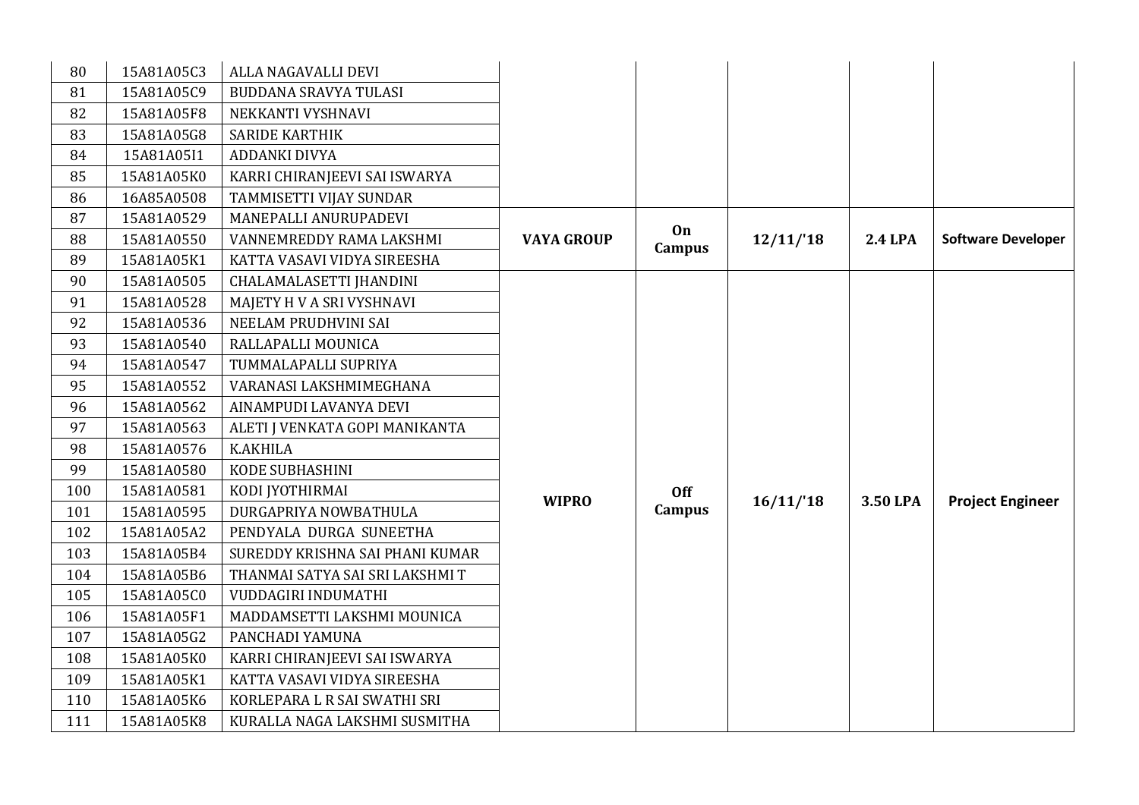| 80  | 15A81A05C3 | ALLA NAGAVALLI DEVI             |                   |               |          |                |                           |
|-----|------------|---------------------------------|-------------------|---------------|----------|----------------|---------------------------|
| 81  | 15A81A05C9 | BUDDANA SRAVYA TULASI           |                   |               |          |                |                           |
| 82  | 15A81A05F8 | NEKKANTI VYSHNAVI               |                   |               |          |                |                           |
| 83  | 15A81A05G8 | <b>SARIDE KARTHIK</b>           |                   |               |          |                |                           |
| 84  | 15A81A05I1 | ADDANKI DIVYA                   |                   |               |          |                |                           |
| 85  | 15A81A05K0 | KARRI CHIRANJEEVI SAI ISWARYA   |                   |               |          |                |                           |
| 86  | 16A85A0508 | TAMMISETTI VIJAY SUNDAR         |                   |               |          |                |                           |
| 87  | 15A81A0529 | MANEPALLI ANURUPADEVI           |                   |               |          |                |                           |
| 88  | 15A81A0550 | VANNEMREDDY RAMA LAKSHMI        | <b>VAYA GROUP</b> | On<br>Campus  | 12/11/18 | <b>2.4 LPA</b> | <b>Software Developer</b> |
| 89  | 15A81A05K1 | KATTA VASAVI VIDYA SIREESHA     |                   |               |          |                |                           |
| 90  | 15A81A0505 | CHALAMALASETTI JHANDINI         |                   |               |          |                |                           |
| 91  | 15A81A0528 | MAJETY H V A SRI VYSHNAVI       |                   |               |          | 3.50 LPA       | <b>Project Engineer</b>   |
| 92  | 15A81A0536 | NEELAM PRUDHVINI SAI            |                   |               |          |                |                           |
| 93  | 15A81A0540 | RALLAPALLI MOUNICA              |                   |               |          |                |                           |
| 94  | 15A81A0547 | TUMMALAPALLI SUPRIYA            |                   |               |          |                |                           |
| 95  | 15A81A0552 | VARANASI LAKSHMIMEGHANA         |                   |               |          |                |                           |
| 96  | 15A81A0562 | AINAMPUDI LAVANYA DEVI          |                   |               |          |                |                           |
| 97  | 15A81A0563 | ALETI J VENKATA GOPI MANIKANTA  |                   |               |          |                |                           |
| 98  | 15A81A0576 | <b>K.AKHILA</b>                 |                   |               |          |                |                           |
| 99  | 15A81A0580 | KODE SUBHASHINI                 |                   |               |          |                |                           |
| 100 | 15A81A0581 | KODI JYOTHIRMAI                 |                   | <b>Off</b>    |          |                |                           |
| 101 | 15A81A0595 | DURGAPRIYA NOWBATHULA           | <b>WIPRO</b>      | <b>Campus</b> | 16/11/18 |                |                           |
| 102 | 15A81A05A2 | PENDYALA DURGA SUNEETHA         |                   |               |          |                |                           |
| 103 | 15A81A05B4 | SUREDDY KRISHNA SAI PHANI KUMAR |                   |               |          |                |                           |
| 104 | 15A81A05B6 | THANMAI SATYA SAI SRI LAKSHMI T |                   |               |          |                |                           |
| 105 | 15A81A05C0 | VUDDAGIRI INDUMATHI             |                   |               |          |                |                           |
| 106 | 15A81A05F1 | MADDAMSETTI LAKSHMI MOUNICA     |                   |               |          |                |                           |
| 107 | 15A81A05G2 | PANCHADI YAMUNA                 |                   |               |          |                |                           |
| 108 | 15A81A05K0 | KARRI CHIRANJEEVI SAI ISWARYA   |                   |               |          |                |                           |
| 109 | 15A81A05K1 | KATTA VASAVI VIDYA SIREESHA     |                   |               |          |                |                           |
| 110 | 15A81A05K6 | KORLEPARA L R SAI SWATHI SRI    |                   |               |          |                |                           |
| 111 | 15A81A05K8 | KURALLA NAGA LAKSHMI SUSMITHA   |                   |               |          |                |                           |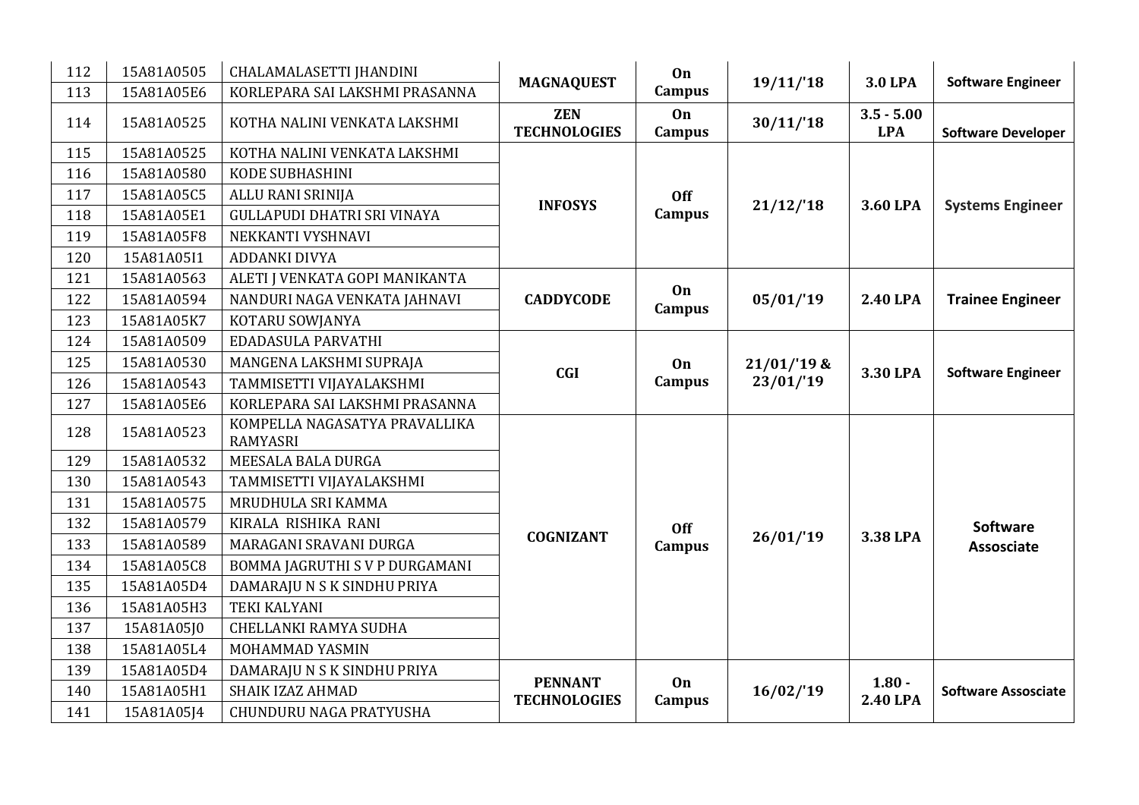| 112 | 15A81A0505 | CHALAMALASETTI JHANDINI                          | <b>MAGNAQUEST</b>                     | On                  | 19/11/18     | <b>3.0 LPA</b>       | <b>Software Engineer</b>   |
|-----|------------|--------------------------------------------------|---------------------------------------|---------------------|--------------|----------------------|----------------------------|
| 113 | 15A81A05E6 | KORLEPARA SAI LAKSHMI PRASANNA                   |                                       | <b>Campus</b>       |              |                      |                            |
| 114 | 15A81A0525 | KOTHA NALINI VENKATA LAKSHMI                     | <b>ZEN</b>                            | On                  | 30/11/18     | $3.5 - 5.00$         |                            |
|     |            |                                                  | <b>TECHNOLOGIES</b>                   | Campus              |              | <b>LPA</b>           | <b>Software Developer</b>  |
| 115 | 15A81A0525 | KOTHA NALINI VENKATA LAKSHMI                     |                                       |                     |              |                      |                            |
| 116 | 15A81A0580 | <b>KODE SUBHASHINI</b>                           |                                       |                     |              |                      |                            |
| 117 | 15A81A05C5 | ALLU RANI SRINIJA                                | <b>INFOSYS</b>                        | <b>Off</b>          | 21/12/18     | 3.60 LPA             | <b>Systems Engineer</b>    |
| 118 | 15A81A05E1 | <b>GULLAPUDI DHATRI SRI VINAYA</b>               |                                       | Campus              |              |                      |                            |
| 119 | 15A81A05F8 | NEKKANTI VYSHNAVI                                |                                       |                     |              |                      |                            |
| 120 | 15A81A05I1 | <b>ADDANKI DIVYA</b>                             |                                       |                     |              |                      |                            |
| 121 | 15A81A0563 | ALETI J VENKATA GOPI MANIKANTA                   |                                       |                     |              |                      |                            |
| 122 | 15A81A0594 | NANDURI NAGA VENKATA JAHNAVI                     | <b>CADDYCODE</b>                      | <b>On</b><br>Campus | 05/01/19     | 2.40 LPA             | <b>Trainee Engineer</b>    |
| 123 | 15A81A05K7 | KOTARU SOWJANYA                                  |                                       |                     |              |                      |                            |
| 124 | 15A81A0509 | EDADASULA PARVATHI                               |                                       |                     |              |                      |                            |
| 125 | 15A81A0530 | MANGENA LAKSHMI SUPRAJA                          | <b>CGI</b>                            | On                  | $21/01/19$ & | 3.30 LPA             |                            |
| 126 | 15A81A0543 | TAMMISETTI VIJAYALAKSHMI                         |                                       | Campus              | 23/01/19     |                      | <b>Software Engineer</b>   |
| 127 | 15A81A05E6 | KORLEPARA SAI LAKSHMI PRASANNA                   |                                       |                     |              |                      |                            |
| 128 | 15A81A0523 | KOMPELLA NAGASATYA PRAVALLIKA<br><b>RAMYASRI</b> |                                       |                     |              |                      |                            |
| 129 | 15A81A0532 | MEESALA BALA DURGA                               |                                       |                     |              |                      |                            |
| 130 | 15A81A0543 | TAMMISETTI VIJAYALAKSHMI                         |                                       |                     |              |                      |                            |
| 131 | 15A81A0575 | MRUDHULA SRI KAMMA                               |                                       |                     |              |                      |                            |
| 132 | 15A81A0579 | KIRALA RISHIKA RANI                              |                                       | Off                 |              |                      | <b>Software</b>            |
| 133 | 15A81A0589 | MARAGANI SRAVANI DURGA                           | <b>COGNIZANT</b>                      | Campus              | 26/01/19     | 3.38 LPA             | <b>Assosciate</b>          |
| 134 | 15A81A05C8 | BOMMA JAGRUTHI S V P DURGAMANI                   |                                       |                     |              |                      |                            |
| 135 | 15A81A05D4 | DAMARAJU N S K SINDHU PRIYA                      |                                       |                     |              |                      |                            |
| 136 | 15A81A05H3 | <b>TEKI KALYANI</b>                              |                                       |                     |              |                      |                            |
| 137 | 15A81A05J0 | CHELLANKI RAMYA SUDHA                            |                                       |                     |              |                      |                            |
| 138 | 15A81A05L4 | MOHAMMAD YASMIN                                  |                                       |                     |              |                      |                            |
| 139 | 15A81A05D4 | DAMARAJU N S K SINDHU PRIYA                      |                                       |                     |              |                      |                            |
| 140 | 15A81A05H1 | SHAIK IZAZ AHMAD                                 | <b>PENNANT</b><br><b>TECHNOLOGIES</b> | On                  | 16/02/19     | $1.80 -$<br>2.40 LPA | <b>Software Assosciate</b> |
| 141 | 15A81A05J4 | CHUNDURU NAGA PRATYUSHA                          |                                       | Campus              |              |                      |                            |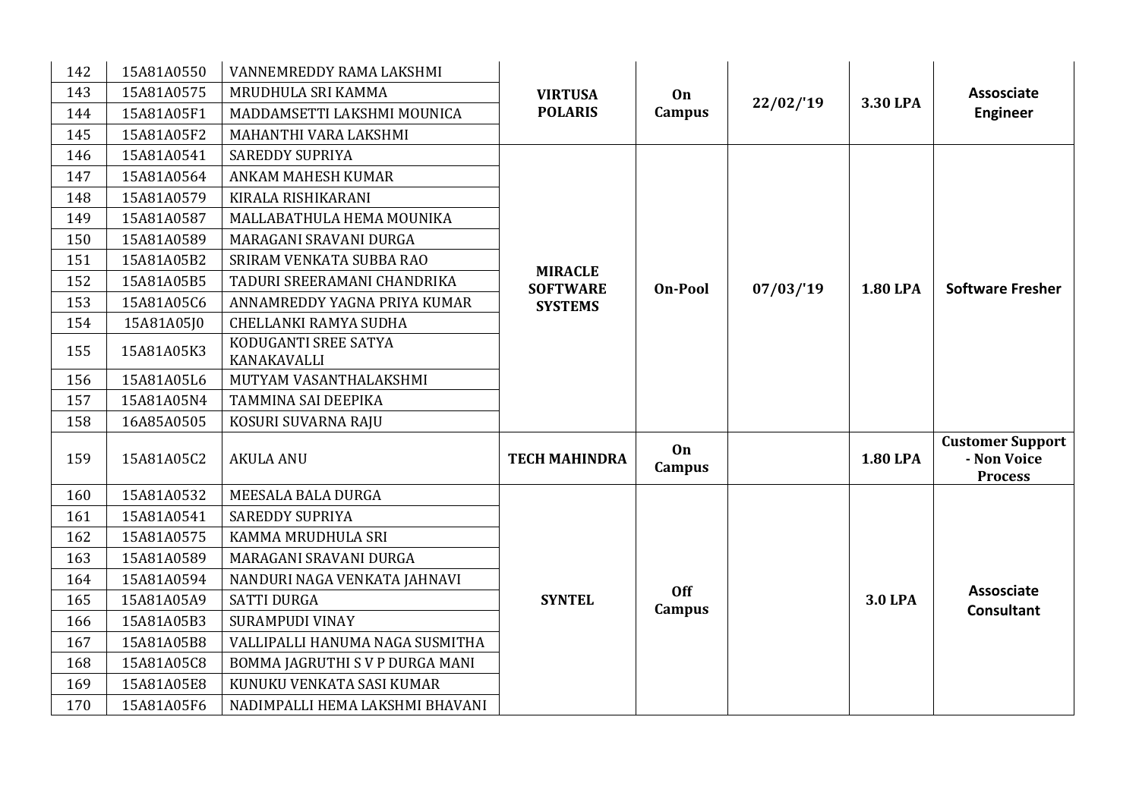| 142 | 15A81A0550 | VANNEMREDDY RAMA LAKSHMI            |                                                     |                     |          |                 |                                                          |
|-----|------------|-------------------------------------|-----------------------------------------------------|---------------------|----------|-----------------|----------------------------------------------------------|
| 143 | 15A81A0575 | MRUDHULA SRI KAMMA                  | <b>VIRTUSA</b>                                      | On                  |          | 3.30 LPA        | <b>Assosciate</b>                                        |
| 144 | 15A81A05F1 | MADDAMSETTI LAKSHMI MOUNICA         | <b>POLARIS</b>                                      | Campus              | 22/02/19 |                 | <b>Engineer</b>                                          |
| 145 | 15A81A05F2 | MAHANTHI VARA LAKSHMI               |                                                     |                     |          |                 |                                                          |
| 146 | 15A81A0541 | <b>SAREDDY SUPRIYA</b>              |                                                     |                     |          |                 |                                                          |
| 147 | 15A81A0564 | ANKAM MAHESH KUMAR                  |                                                     |                     |          |                 |                                                          |
| 148 | 15A81A0579 | KIRALA RISHIKARANI                  |                                                     |                     |          |                 |                                                          |
| 149 | 15A81A0587 | MALLABATHULA HEMA MOUNIKA           | <b>MIRACLE</b><br><b>SOFTWARE</b><br><b>On-Pool</b> |                     |          |                 |                                                          |
| 150 | 15A81A0589 | MARAGANI SRAVANI DURGA              |                                                     |                     |          |                 |                                                          |
| 151 | 15A81A05B2 | SRIRAM VENKATA SUBBA RAO            |                                                     |                     |          |                 |                                                          |
| 152 | 15A81A05B5 | TADURI SREERAMANI CHANDRIKA         |                                                     |                     | 07/03/19 | <b>1.80 LPA</b> | <b>Software Fresher</b>                                  |
| 153 | 15A81A05C6 | ANNAMREDDY YAGNA PRIYA KUMAR        | <b>SYSTEMS</b>                                      |                     |          |                 |                                                          |
| 154 | 15A81A05J0 | CHELLANKI RAMYA SUDHA               |                                                     |                     |          |                 |                                                          |
| 155 | 15A81A05K3 | KODUGANTI SREE SATYA<br>KANAKAVALLI |                                                     |                     |          |                 |                                                          |
| 156 | 15A81A05L6 | MUTYAM VASANTHALAKSHMI              |                                                     |                     |          |                 |                                                          |
| 157 | 15A81A05N4 | TAMMINA SAI DEEPIKA                 |                                                     |                     |          |                 |                                                          |
| 158 | 16A85A0505 | KOSURI SUVARNA RAJU                 |                                                     |                     |          |                 |                                                          |
| 159 | 15A81A05C2 | <b>AKULA ANU</b>                    | <b>TECH MAHINDRA</b>                                | On<br><b>Campus</b> |          | <b>1.80 LPA</b> | <b>Customer Support</b><br>- Non Voice<br><b>Process</b> |
| 160 | 15A81A0532 | MEESALA BALA DURGA                  |                                                     |                     |          |                 |                                                          |
| 161 | 15A81A0541 | <b>SAREDDY SUPRIYA</b>              |                                                     |                     |          |                 |                                                          |
| 162 | 15A81A0575 | KAMMA MRUDHULA SRI                  |                                                     |                     |          |                 |                                                          |
| 163 | 15A81A0589 | MARAGANI SRAVANI DURGA              |                                                     |                     |          |                 |                                                          |
| 164 | 15A81A0594 | NANDURI NAGA VENKATA JAHNAVI        |                                                     | <b>Off</b>          |          |                 | <b>Assosciate</b>                                        |
| 165 | 15A81A05A9 | <b>SATTI DURGA</b>                  | <b>SYNTEL</b>                                       | Campus              |          | <b>3.0 LPA</b>  | <b>Consultant</b>                                        |
| 166 | 15A81A05B3 | <b>SURAMPUDI VINAY</b>              |                                                     |                     |          |                 |                                                          |
| 167 | 15A81A05B8 | VALLIPALLI HANUMA NAGA SUSMITHA     |                                                     |                     |          |                 |                                                          |
| 168 | 15A81A05C8 | BOMMA JAGRUTHI S V P DURGA MANI     |                                                     |                     |          |                 |                                                          |
| 169 | 15A81A05E8 | KUNUKU VENKATA SASI KUMAR           |                                                     |                     |          |                 |                                                          |
| 170 | 15A81A05F6 | NADIMPALLI HEMA LAKSHMI BHAVANI     |                                                     |                     |          |                 |                                                          |